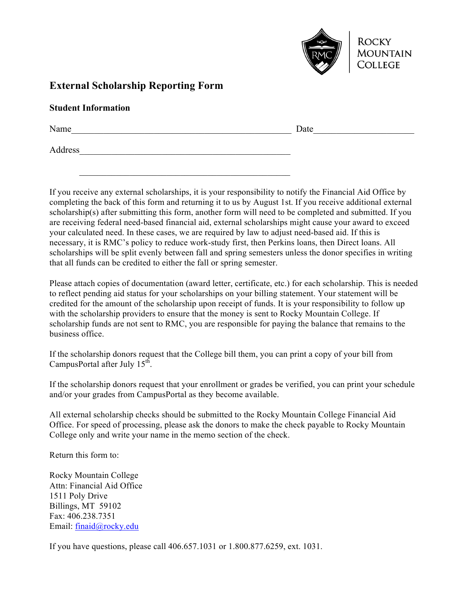

## **External Scholarship Reporting Form**

Name\_\_\_\_\_\_\_\_\_\_\_\_\_\_\_\_\_\_\_\_\_\_\_\_\_\_\_\_\_\_\_\_\_\_\_\_\_\_\_\_\_\_\_\_\_\_\_\_ Date\_\_\_\_\_\_\_\_\_\_\_\_\_\_\_\_\_\_\_\_\_\_

Address

If you receive any external scholarships, it is your responsibility to notify the Financial Aid Office by completing the back of this form and returning it to us by August 1st. If you receive additional external scholarship(s) after submitting this form, another form will need to be completed and submitted. If you are receiving federal need-based financial aid, external scholarships might cause your award to exceed your calculated need. In these cases, we are required by law to adjust need-based aid. If this is necessary, it is RMC's policy to reduce work-study first, then Perkins loans, then Direct loans. All scholarships will be split evenly between fall and spring semesters unless the donor specifies in writing that all funds can be credited to either the fall or spring semester.

 $\mathcal{L}_\text{max}$  and the contract of the contract of the contract of the contract of the contract of the contract of the contract of the contract of the contract of the contract of the contract of the contract of the contrac

Please attach copies of documentation (award letter, certificate, etc.) for each scholarship. This is needed to reflect pending aid status for your scholarships on your billing statement. Your statement will be credited for the amount of the scholarship upon receipt of funds. It is your responsibility to follow up with the scholarship providers to ensure that the money is sent to Rocky Mountain College. If scholarship funds are not sent to RMC, you are responsible for paying the balance that remains to the business office.

If the scholarship donors request that the College bill them, you can print a copy of your bill from CampusPortal after July  $15<sup>th</sup>$ .

If the scholarship donors request that your enrollment or grades be verified, you can print your schedule and/or your grades from CampusPortal as they become available.

All external scholarship checks should be submitted to the Rocky Mountain College Financial Aid Office. For speed of processing, please ask the donors to make the check payable to Rocky Mountain College only and write your name in the memo section of the check.

Return this form to:

Rocky Mountain College Attn: Financial Aid Office 1511 Poly Drive Billings, MT 59102 Fax: 406.238.7351 Email: finaid@rocky.edu

If you have questions, please call 406.657.1031 or 1.800.877.6259, ext. 1031.